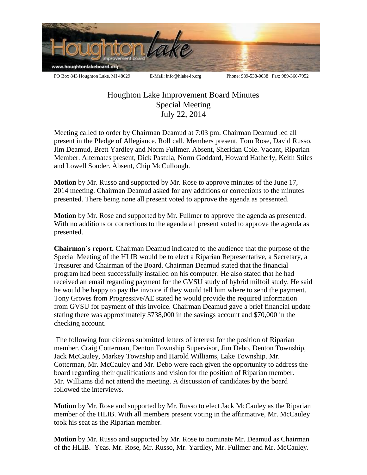

Houghton Lake Improvement Board Minutes Special Meeting July 22, 2014

Meeting called to order by Chairman Deamud at 7:03 pm. Chairman Deamud led all present in the Pledge of Allegiance. Roll call. Members present, Tom Rose, David Russo, Jim Deamud, Brett Yardley and Norm Fullmer. Absent, Sheridan Cole. Vacant, Riparian Member. Alternates present, Dick Pastula, Norm Goddard, Howard Hatherly, Keith Stiles and Lowell Souder. Absent, Chip McCullough.

**Motion** by Mr. Russo and supported by Mr. Rose to approve minutes of the June 17, 2014 meeting. Chairman Deamud asked for any additions or corrections to the minutes presented. There being none all present voted to approve the agenda as presented.

**Motion** by Mr. Rose and supported by Mr. Fullmer to approve the agenda as presented. With no additions or corrections to the agenda all present voted to approve the agenda as presented.

**Chairman's report.** Chairman Deamud indicated to the audience that the purpose of the Special Meeting of the HLIB would be to elect a Riparian Representative, a Secretary, a Treasurer and Chairman of the Board. Chairman Deamud stated that the financial program had been successfully installed on his computer. He also stated that he had received an email regarding payment for the GVSU study of hybrid milfoil study. He said he would be happy to pay the invoice if they would tell him where to send the payment. Tony Groves from Progressive/AE stated he would provide the required information from GVSU for payment of this invoice. Chairman Deamud gave a brief financial update stating there was approximately \$738,000 in the savings account and \$70,000 in the checking account.

The following four citizens submitted letters of interest for the position of Riparian member. Craig Cotterman, Denton Township Supervisor, Jim Debo, Denton Township, Jack McCauley, Markey Township and Harold Williams, Lake Township. Mr. Cotterman, Mr. McCauley and Mr. Debo were each given the opportunity to address the board regarding their qualifications and vision for the position of Riparian member. Mr. Williams did not attend the meeting. A discussion of candidates by the board followed the interviews.

**Motion** by Mr. Rose and supported by Mr. Russo to elect Jack McCauley as the Riparian member of the HLIB. With all members present voting in the affirmative, Mr. McCauley took his seat as the Riparian member.

**Motion** by Mr. Russo and supported by Mr. Rose to nominate Mr. Deamud as Chairman of the HLIB. Yeas. Mr. Rose, Mr. Russo, Mr. Yardley, Mr. Fullmer and Mr. McCauley.